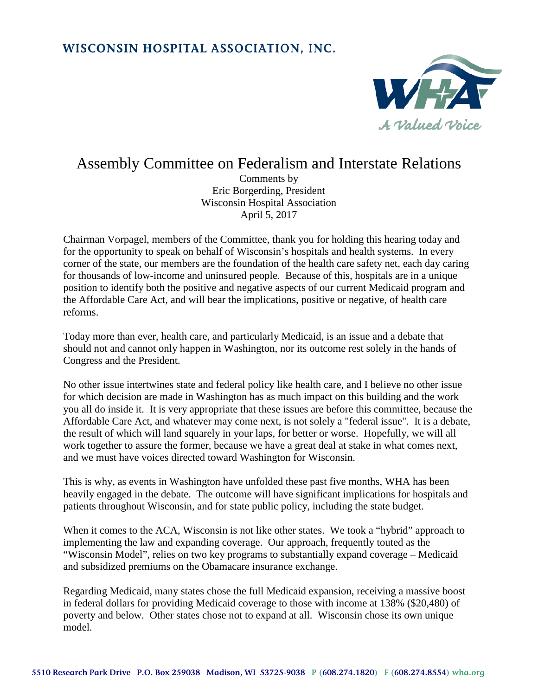## WISCONSIN HOSPITAL ASSOCIATION, INC.



## Assembly Committee on Federalism and Interstate Relations

Comments by Eric Borgerding, President Wisconsin Hospital Association April 5, 2017

Chairman Vorpagel, members of the Committee, thank you for holding this hearing today and for the opportunity to speak on behalf of Wisconsin's hospitals and health systems. In every corner of the state, our members are the foundation of the health care safety net, each day caring for thousands of low-income and uninsured people. Because of this, hospitals are in a unique position to identify both the positive and negative aspects of our current Medicaid program and the Affordable Care Act, and will bear the implications, positive or negative, of health care reforms.

Today more than ever, health care, and particularly Medicaid, is an issue and a debate that should not and cannot only happen in Washington, nor its outcome rest solely in the hands of Congress and the President.

No other issue intertwines state and federal policy like health care, and I believe no other issue for which decision are made in Washington has as much impact on this building and the work you all do inside it. It is very appropriate that these issues are before this committee, because the Affordable Care Act, and whatever may come next, is not solely a "federal issue". It is a debate, the result of which will land squarely in your laps, for better or worse. Hopefully, we will all work together to assure the former, because we have a great deal at stake in what comes next, and we must have voices directed toward Washington for Wisconsin.

This is why, as events in Washington have unfolded these past five months, WHA has been heavily engaged in the debate. The outcome will have significant implications for hospitals and patients throughout Wisconsin, and for state public policy, including the state budget.

When it comes to the ACA, Wisconsin is not like other states. We took a "hybrid" approach to implementing the law and expanding coverage. Our approach, frequently touted as the "Wisconsin Model", relies on two key programs to substantially expand coverage – Medicaid and subsidized premiums on the Obamacare insurance exchange.

Regarding Medicaid, many states chose the full Medicaid expansion, receiving a massive boost in federal dollars for providing Medicaid coverage to those with income at 138% (\$20,480) of poverty and below. Other states chose not to expand at all. Wisconsin chose its own unique model.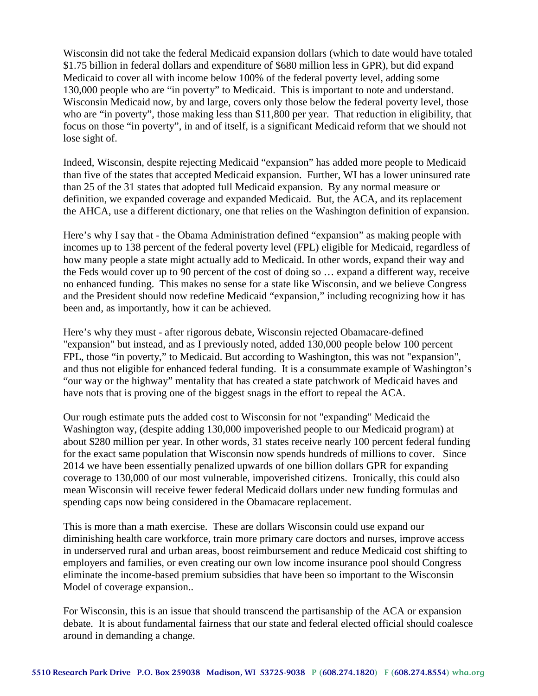Wisconsin did not take the federal Medicaid expansion dollars (which to date would have totaled \$1.75 billion in federal dollars and expenditure of \$680 million less in GPR), but did expand Medicaid to cover all with income below 100% of the federal poverty level, adding some 130,000 people who are "in poverty" to Medicaid. This is important to note and understand. Wisconsin Medicaid now, by and large, covers only those below the federal poverty level, those who are "in poverty", those making less than \$11,800 per year. That reduction in eligibility, that focus on those "in poverty", in and of itself, is a significant Medicaid reform that we should not lose sight of.

Indeed, Wisconsin, despite rejecting Medicaid "expansion" has added more people to Medicaid than five of the states that accepted Medicaid expansion. Further, WI has a lower uninsured rate than 25 of the 31 states that adopted full Medicaid expansion. By any normal measure or definition, we expanded coverage and expanded Medicaid. But, the ACA, and its replacement the AHCA, use a different dictionary, one that relies on the Washington definition of expansion.

Here's why I say that - the Obama Administration defined "expansion" as making people with incomes up to 138 percent of the federal poverty level (FPL) eligible for Medicaid, regardless of how many people a state might actually add to Medicaid. In other words, expand their way and the Feds would cover up to 90 percent of the cost of doing so … expand a different way, receive no enhanced funding. This makes no sense for a state like Wisconsin, and we believe Congress and the President should now redefine Medicaid "expansion," including recognizing how it has been and, as importantly, how it can be achieved.

Here's why they must - after rigorous debate, Wisconsin rejected Obamacare-defined "expansion" but instead, and as I previously noted, added 130,000 people below 100 percent FPL, those "in poverty," to Medicaid. But according to Washington, this was not "expansion", and thus not eligible for enhanced federal funding. It is a consummate example of Washington's "our way or the highway" mentality that has created a state patchwork of Medicaid haves and have nots that is proving one of the biggest snags in the effort to repeal the ACA.

Our rough estimate puts the added cost to Wisconsin for not "expanding" Medicaid the Washington way, (despite adding 130,000 impoverished people to our Medicaid program) at about \$280 million per year. In other words, 31 states receive nearly 100 percent federal funding for the exact same population that Wisconsin now spends hundreds of millions to cover. Since 2014 we have been essentially penalized upwards of one billion dollars GPR for expanding coverage to 130,000 of our most vulnerable, impoverished citizens. Ironically, this could also mean Wisconsin will receive fewer federal Medicaid dollars under new funding formulas and spending caps now being considered in the Obamacare replacement.

This is more than a math exercise. These are dollars Wisconsin could use expand our diminishing health care workforce, train more primary care doctors and nurses, improve access in underserved rural and urban areas, boost reimbursement and reduce Medicaid cost shifting to employers and families, or even creating our own low income insurance pool should Congress eliminate the income-based premium subsidies that have been so important to the Wisconsin Model of coverage expansion..

For Wisconsin, this is an issue that should transcend the partisanship of the ACA or expansion debate. It is about fundamental fairness that our state and federal elected official should coalesce around in demanding a change.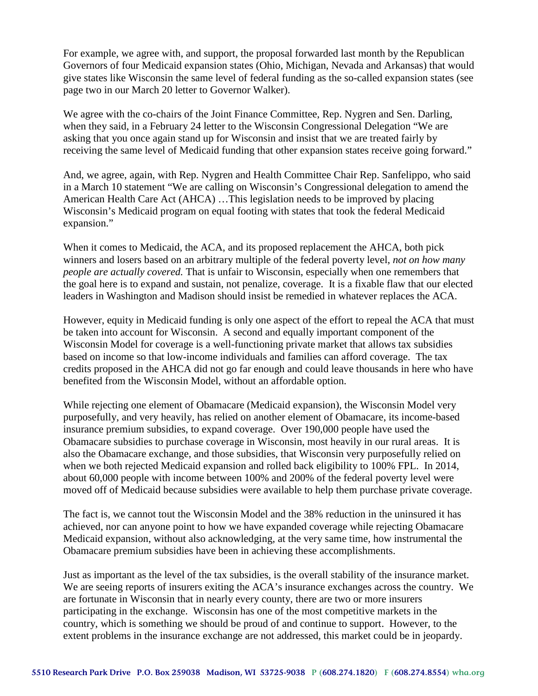For example, we agree with, and support, the proposal forwarded last month by the Republican Governors of four Medicaid expansion states (Ohio, Michigan, Nevada and Arkansas) that would give states like Wisconsin the same level of federal funding as the so-called expansion states (see page two in our March 20 letter to Governor Walker).

We agree with the co-chairs of the Joint Finance Committee, Rep. Nygren and Sen. Darling, when they said, in a February 24 letter to the Wisconsin Congressional Delegation "We are asking that you once again stand up for Wisconsin and insist that we are treated fairly by receiving the same level of Medicaid funding that other expansion states receive going forward."

And, we agree, again, with Rep. Nygren and Health Committee Chair Rep. Sanfelippo, who said in a March 10 statement "We are calling on Wisconsin's Congressional delegation to amend the American Health Care Act (AHCA) …This legislation needs to be improved by placing Wisconsin's Medicaid program on equal footing with states that took the federal Medicaid expansion."

When it comes to Medicaid, the ACA, and its proposed replacement the AHCA, both pick winners and losers based on an arbitrary multiple of the federal poverty level, *not on how many people are actually covered.* That is unfair to Wisconsin, especially when one remembers that the goal here is to expand and sustain, not penalize, coverage. It is a fixable flaw that our elected leaders in Washington and Madison should insist be remedied in whatever replaces the ACA.

However, equity in Medicaid funding is only one aspect of the effort to repeal the ACA that must be taken into account for Wisconsin. A second and equally important component of the Wisconsin Model for coverage is a well-functioning private market that allows tax subsidies based on income so that low-income individuals and families can afford coverage. The tax credits proposed in the AHCA did not go far enough and could leave thousands in here who have benefited from the Wisconsin Model, without an affordable option.

While rejecting one element of Obamacare (Medicaid expansion), the Wisconsin Model very purposefully, and very heavily, has relied on another element of Obamacare, its income-based insurance premium subsidies, to expand coverage. Over 190,000 people have used the Obamacare subsidies to purchase coverage in Wisconsin, most heavily in our rural areas. It is also the Obamacare exchange, and those subsidies, that Wisconsin very purposefully relied on when we both rejected Medicaid expansion and rolled back eligibility to 100% FPL. In 2014, about 60,000 people with income between 100% and 200% of the federal poverty level were moved off of Medicaid because subsidies were available to help them purchase private coverage.

The fact is, we cannot tout the Wisconsin Model and the 38% reduction in the uninsured it has achieved, nor can anyone point to how we have expanded coverage while rejecting Obamacare Medicaid expansion, without also acknowledging, at the very same time, how instrumental the Obamacare premium subsidies have been in achieving these accomplishments.

Just as important as the level of the tax subsidies, is the overall stability of the insurance market. We are seeing reports of insurers exiting the ACA's insurance exchanges across the country. We are fortunate in Wisconsin that in nearly every county, there are two or more insurers participating in the exchange. Wisconsin has one of the most competitive markets in the country, which is something we should be proud of and continue to support. However, to the extent problems in the insurance exchange are not addressed, this market could be in jeopardy.